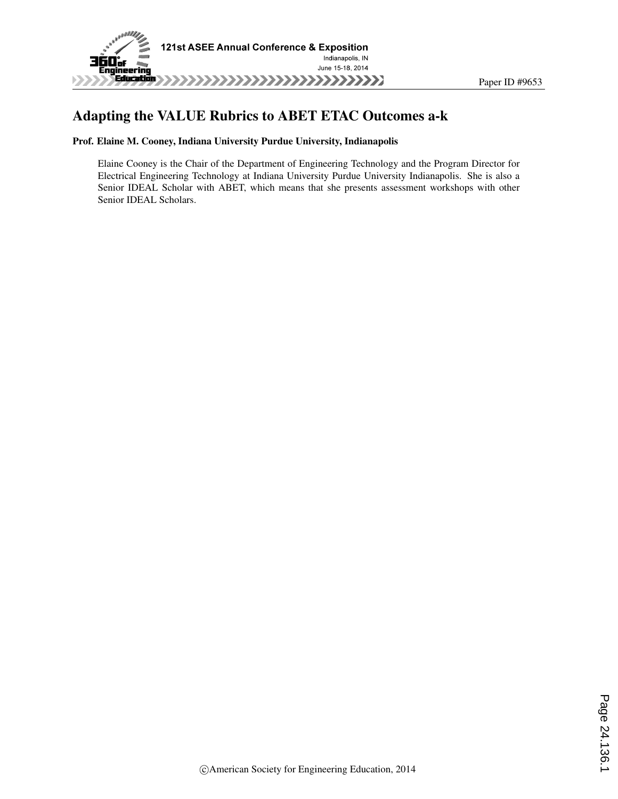

#### Adapting the VALUE Rubrics to ABET ETAC Outcomes a-k

#### Prof. Elaine M. Cooney, Indiana University Purdue University, Indianapolis

Elaine Cooney is the Chair of the Department of Engineering Technology and the Program Director for Electrical Engineering Technology at Indiana University Purdue University Indianapolis. She is also a Senior IDEAL Scholar with ABET, which means that she presents assessment workshops with other Senior IDEAL Scholars.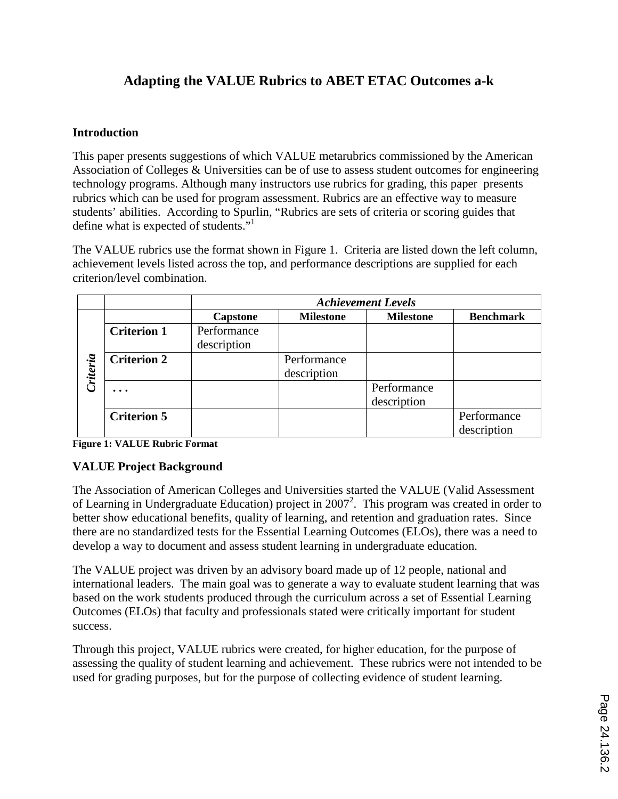### **Adapting the VALUE Rubrics to ABET ETAC Outcomes a-k**

#### **Introduction**

This paper presents suggestions of which VALUE metarubrics commissioned by the American Association of Colleges & Universities can be of use to assess student outcomes for engineering technology programs. Although many instructors use rubrics for grading, this paper presents rubrics which can be used for program assessment. Rubrics are an effective way to measure students' abilities. According to Spurlin, "Rubrics are sets of criteria or scoring guides that define what is expected of students."<sup>1</sup>

The VALUE rubrics use the format shown in Figure 1. Criteria are listed down the left column, achievement levels listed across the top, and performance descriptions are supplied for each criterion/level combination.

|          |                    | <b>Achievement Levels</b>  |                            |                            |                            |  |  |  |
|----------|--------------------|----------------------------|----------------------------|----------------------------|----------------------------|--|--|--|
|          |                    | <b>Capstone</b>            | <b>Milestone</b>           | <b>Milestone</b>           | <b>Benchmark</b>           |  |  |  |
| Criteria | <b>Criterion 1</b> | Performance<br>description |                            |                            |                            |  |  |  |
|          | <b>Criterion 2</b> |                            | Performance<br>description |                            |                            |  |  |  |
|          |                    |                            |                            | Performance<br>description |                            |  |  |  |
|          | <b>Criterion 5</b> |                            |                            |                            | Performance<br>description |  |  |  |

**Figure 1: VALUE Rubric Format**

#### **VALUE Project Background**

The Association of American Colleges and Universities started the VALUE (Valid Assessment of Learning in Undergraduate Education) project in  $2007^2$ . This program was created in order to better show educational benefits, quality of learning, and retention and graduation rates. Since there are no standardized tests for the Essential Learning Outcomes (ELOs), there was a need to develop a way to document and assess student learning in undergraduate education.

The VALUE project was driven by an advisory board made up of 12 people, national and international leaders. The main goal was to generate a way to evaluate student learning that was based on the work students produced through the curriculum across a set of Essential Learning Outcomes (ELOs) that faculty and professionals stated were critically important for student success.

Through this project, VALUE rubrics were created, for higher education, for the purpose of assessing the quality of student learning and achievement. These rubrics were not intended to be used for grading purposes, but for the purpose of collecting evidence of student learning.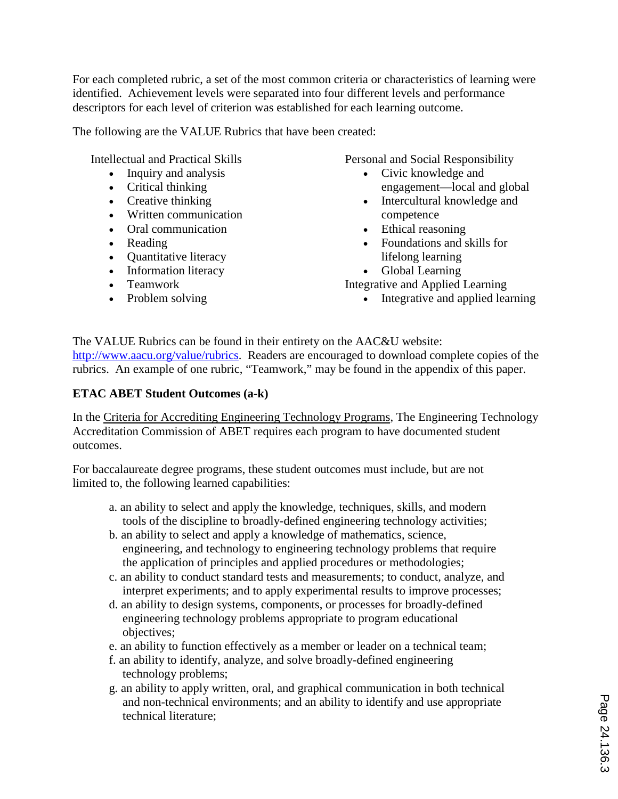For each completed rubric, a set of the most common criteria or characteristics of learning were identified. Achievement levels were separated into four different levels and performance descriptors for each level of criterion was established for each learning outcome.

The following are the VALUE Rubrics that have been created:

Intellectual and Practical Skills

- Inquiry and analysis
- Critical thinking
- Creative thinking
- Written communication
- Oral communication
- Reading
- Quantitative literacy
- Information literacy
- Teamwork
- Problem solving

Personal and Social Responsibility

- Civic knowledge and engagement—local and global
- Intercultural knowledge and competence
- Ethical reasoning
- Foundations and skills for lifelong learning
- Global Learning

Integrative and Applied Learning

• Integrative and applied learning

The VALUE Rubrics can be found in their entirety on the AAC&U website: http://www.aacu.org/value/rubrics. Readers are encouraged to download complete copies of the rubrics. An example of one rubric, "Teamwork," may be found in the appendix of this paper.

#### **ETAC ABET Student Outcomes (a-k)**

In the Criteria for Accrediting Engineering Technology Programs, The Engineering Technology Accreditation Commission of ABET requires each program to have documented student outcomes.

For baccalaureate degree programs, these student outcomes must include, but are not limited to, the following learned capabilities:

- a. an ability to select and apply the knowledge, techniques, skills, and modern tools of the discipline to broadly-defined engineering technology activities;
- b. an ability to select and apply a knowledge of mathematics, science, engineering, and technology to engineering technology problems that require the application of principles and applied procedures or methodologies;
- c. an ability to conduct standard tests and measurements; to conduct, analyze, and interpret experiments; and to apply experimental results to improve processes;
- d. an ability to design systems, components, or processes for broadly-defined engineering technology problems appropriate to program educational objectives;
- e. an ability to function effectively as a member or leader on a technical team;
- f. an ability to identify, analyze, and solve broadly-defined engineering technology problems;
- g. an ability to apply written, oral, and graphical communication in both technical and non-technical environments; and an ability to identify and use appropriate technical literature;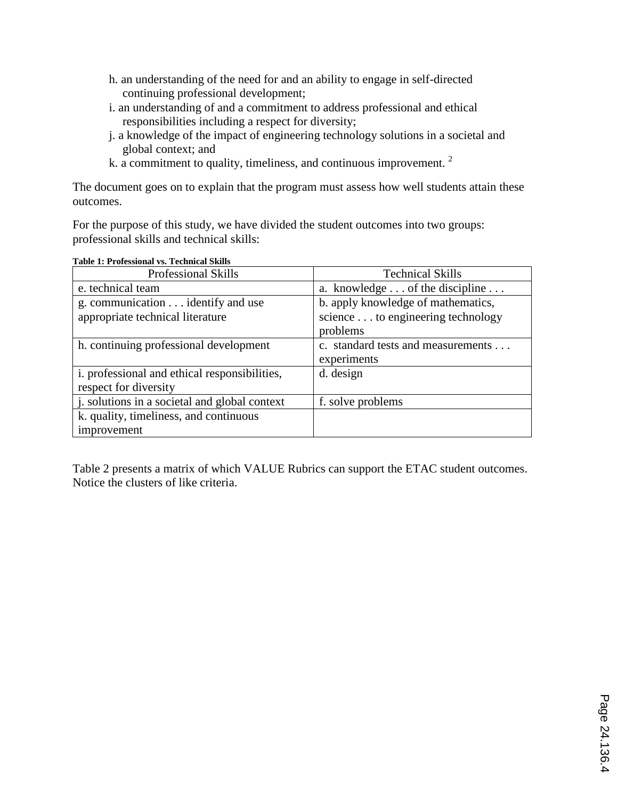- h. an understanding of the need for and an ability to engage in self-directed continuing professional development;
- i. an understanding of and a commitment to address professional and ethical responsibilities including a respect for diversity;
- j. a knowledge of the impact of engineering technology solutions in a societal and global context; and
- k. a commitment to quality, timeliness, and continuous improvement. <sup>2</sup>

The document goes on to explain that the program must assess how well students attain these outcomes.

For the purpose of this study, we have divided the student outcomes into two groups: professional skills and technical skills:

| <b>Professional Skills</b>                    | <b>Technical Skills</b>            |
|-----------------------------------------------|------------------------------------|
| e. technical team                             | a. knowledge of the discipline     |
| g. communication identify and use             | b. apply knowledge of mathematics, |
| appropriate technical literature              | science to engineering technology  |
|                                               | problems                           |
| h. continuing professional development        | c. standard tests and measurements |
|                                               | experiments                        |
| i. professional and ethical responsibilities, | d. design                          |
| respect for diversity                         |                                    |
| j. solutions in a societal and global context | f. solve problems                  |
| k. quality, timeliness, and continuous        |                                    |
| improvement                                   |                                    |

#### **Table 1: Professional vs. Technical Skills**

Table 2 presents a matrix of which VALUE Rubrics can support the ETAC student outcomes. Notice the clusters of like criteria.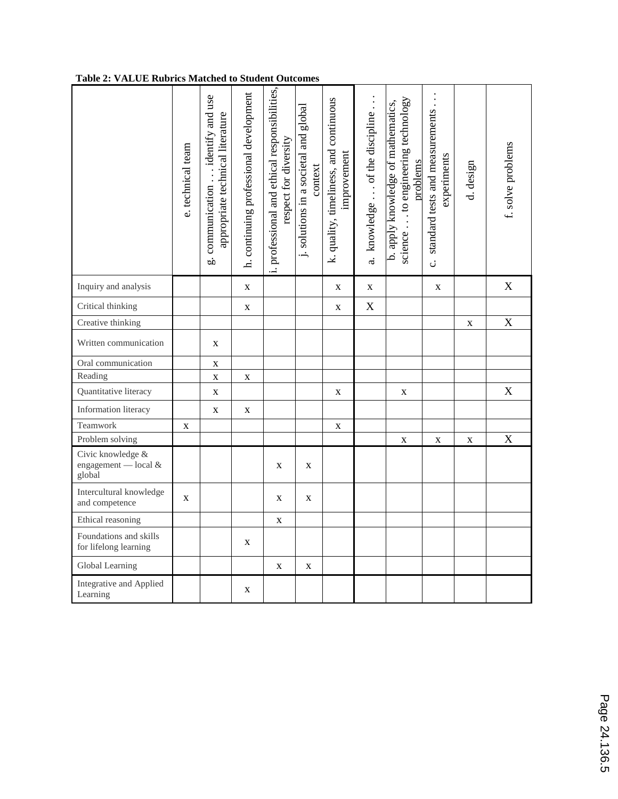#### **Table 2: VALUE Rubrics Matched to Student Outcomes**

|                                                     | e. technical team | g. communication identify and use<br>appropriate technical literature | h. continuing professional development | i. professional and ethical responsibilities,<br>respect for diversity | j. solutions in a societal and global<br>context | k. quality, timeliness, and continuous<br>improvement | a. knowledge of the discipline | science to engineering technology<br>b. apply knowledge of mathematics,<br>problems | standard tests and measurements<br>experiments<br>ن<br>ن | d. design   | f. solve problems |
|-----------------------------------------------------|-------------------|-----------------------------------------------------------------------|----------------------------------------|------------------------------------------------------------------------|--------------------------------------------------|-------------------------------------------------------|--------------------------------|-------------------------------------------------------------------------------------|----------------------------------------------------------|-------------|-------------------|
| Inquiry and analysis                                |                   |                                                                       | $\mathbf X$                            |                                                                        |                                                  | $\mathbf X$                                           | $\mathbf X$                    |                                                                                     | $\mathbf X$                                              |             | $\mathbf X$       |
| Critical thinking                                   |                   |                                                                       | $\mathbf X$                            |                                                                        |                                                  | $\mathbf X$                                           | X                              |                                                                                     |                                                          |             |                   |
| Creative thinking                                   |                   |                                                                       |                                        |                                                                        |                                                  |                                                       |                                |                                                                                     |                                                          | $\mathbf X$ | $\mathbf X$       |
| Written communication                               |                   | $\mathbf X$                                                           |                                        |                                                                        |                                                  |                                                       |                                |                                                                                     |                                                          |             |                   |
| Oral communication                                  |                   | $\mathbf X$                                                           |                                        |                                                                        |                                                  |                                                       |                                |                                                                                     |                                                          |             |                   |
| Reading                                             |                   | $\mathbf X$                                                           | X                                      |                                                                        |                                                  |                                                       |                                |                                                                                     |                                                          |             |                   |
| Quantitative literacy                               |                   | $\mathbf X$                                                           |                                        |                                                                        |                                                  | X                                                     |                                | $\mathbf X$                                                                         |                                                          |             | X                 |
| Information literacy                                |                   | X                                                                     | X                                      |                                                                        |                                                  |                                                       |                                |                                                                                     |                                                          |             |                   |
| Teamwork                                            | X                 |                                                                       |                                        |                                                                        |                                                  | X                                                     |                                |                                                                                     |                                                          |             |                   |
| Problem solving                                     |                   |                                                                       |                                        |                                                                        |                                                  |                                                       |                                | $\mathbf X$                                                                         | $\mathbf X$                                              | $\mathbf X$ | $\mathbf X$       |
| Civic knowledge &<br>engagement - local &<br>global |                   |                                                                       |                                        | $\mathbf X$                                                            | $\mathbf X$                                      |                                                       |                                |                                                                                     |                                                          |             |                   |
| Intercultural knowledge<br>and competence           | $\mathbf{X}$      |                                                                       |                                        | $\mathbf X$                                                            | $\mathbf X$                                      |                                                       |                                |                                                                                     |                                                          |             |                   |
| Ethical reasoning                                   |                   |                                                                       |                                        | X                                                                      |                                                  |                                                       |                                |                                                                                     |                                                          |             |                   |
| Foundations and skills<br>for lifelong learning     |                   |                                                                       | X                                      |                                                                        |                                                  |                                                       |                                |                                                                                     |                                                          |             |                   |
| Global Learning                                     |                   |                                                                       |                                        | $\mathbf X$                                                            | X                                                |                                                       |                                |                                                                                     |                                                          |             |                   |
| Integrative and Applied<br>Learning                 |                   |                                                                       | X                                      |                                                                        |                                                  |                                                       |                                |                                                                                     |                                                          |             |                   |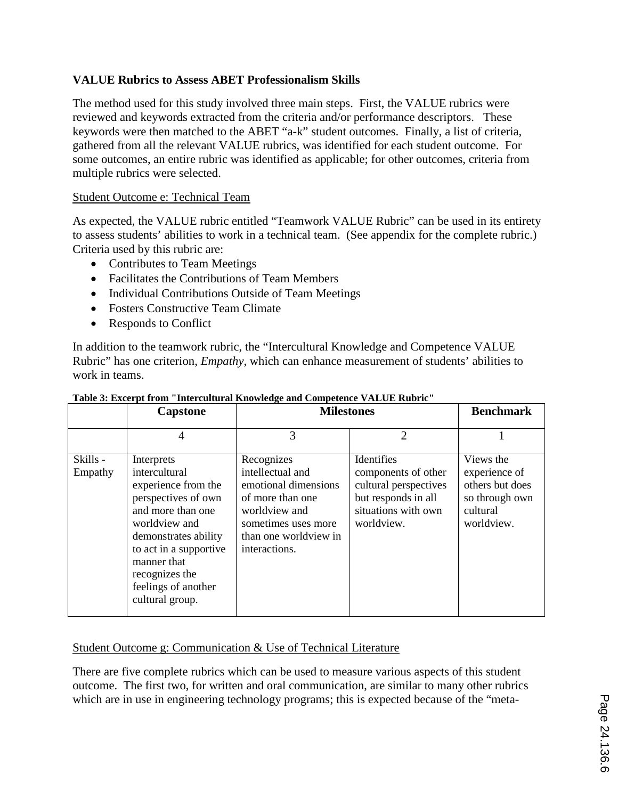#### **VALUE Rubrics to Assess ABET Professionalism Skills**

The method used for this study involved three main steps. First, the VALUE rubrics were reviewed and keywords extracted from the criteria and/or performance descriptors. These keywords were then matched to the ABET "a-k" student outcomes. Finally, a list of criteria, gathered from all the relevant VALUE rubrics, was identified for each student outcome. For some outcomes, an entire rubric was identified as applicable; for other outcomes, criteria from multiple rubrics were selected.

#### Student Outcome e: Technical Team

As expected, the VALUE rubric entitled "Teamwork VALUE Rubric" can be used in its entirety to assess students' abilities to work in a technical team. (See appendix for the complete rubric.) Criteria used by this rubric are:

- Contributes to Team Meetings
- Facilitates the Contributions of Team Members
- Individual Contributions Outside of Team Meetings
- Fosters Constructive Team Climate
- Responds to Conflict

In addition to the teamwork rubric, the "Intercultural Knowledge and Competence VALUE Rubric" has one criterion, *Empathy*, which can enhance measurement of students' abilities to work in teams.

|                     | <b>Capstone</b>                                                                                                                                                                                                                              | <b>Milestones</b>                                                                                                                                            |                                                                                                                        | <b>Benchmark</b>                                                                          |
|---------------------|----------------------------------------------------------------------------------------------------------------------------------------------------------------------------------------------------------------------------------------------|--------------------------------------------------------------------------------------------------------------------------------------------------------------|------------------------------------------------------------------------------------------------------------------------|-------------------------------------------------------------------------------------------|
|                     | 4                                                                                                                                                                                                                                            | 3                                                                                                                                                            | $\overline{2}$                                                                                                         |                                                                                           |
| Skills -<br>Empathy | Interprets<br>intercultural<br>experience from the<br>perspectives of own<br>and more than one<br>worldview and<br>demonstrates ability<br>to act in a supportive<br>manner that<br>recognizes the<br>feelings of another<br>cultural group. | Recognizes<br>intellectual and<br>emotional dimensions<br>of more than one<br>worldview and<br>sometimes uses more<br>than one worldview in<br>interactions. | Identifies<br>components of other<br>cultural perspectives<br>but responds in all<br>situations with own<br>worldview. | Views the<br>experience of<br>others but does<br>so through own<br>cultural<br>worldview. |

#### **Table 3: Excerpt from "Intercultural Knowledge and Competence VALUE Rubric"**

#### Student Outcome g: Communication & Use of Technical Literature

There are five complete rubrics which can be used to measure various aspects of this student outcome. The first two, for written and oral communication, are similar to many other rubrics which are in use in engineering technology programs; this is expected because of the "meta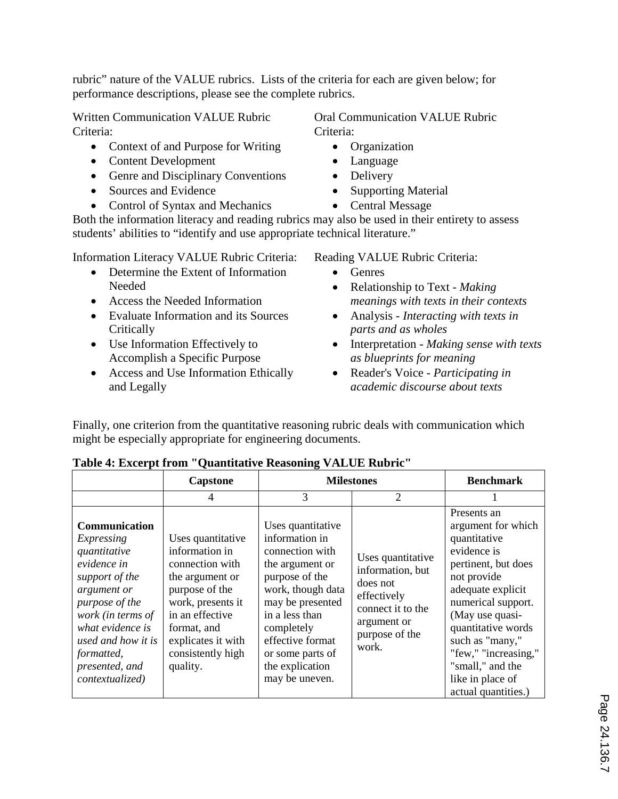rubric" nature of the VALUE rubrics. Lists of the criteria for each are given below; for performance descriptions, please see the complete rubrics.

Written Communication VALUE Rubric Criteria:

- Context of and Purpose for Writing
- Content Development
- Genre and Disciplinary Conventions
- Sources and Evidence
- Control of Syntax and Mechanics

Oral Communication VALUE Rubric Criteria:

- Organization
- Language
- Delivery
- Supporting Material
- Central Message

Both the information literacy and reading rubrics may also be used in their entirety to assess students' abilities to "identify and use appropriate technical literature."

Information Literacy VALUE Rubric Criteria:

- Determine the Extent of Information Needed
- Access the Needed Information
- Evaluate Information and its Sources **Critically**
- Use Information Effectively to Accomplish a Specific Purpose
- Access and Use Information Ethically and Legally

Reading VALUE Rubric Criteria:

- Genres
- Relationship to Text *Making meanings with texts in their contexts*
- Analysis *Interacting with texts in parts and as wholes*
- Interpretation *Making sense with texts as blueprints for meaning*
- Reader's Voice *Participating in academic discourse about texts*

Finally, one criterion from the quantitative reasoning rubric deals with communication which might be especially appropriate for engineering documents.

|                                                                                                                                                                                                                                 | <b>Capstone</b>                                                                                                                                                                                           | <b>Milestones</b>                                                                                                                                                                                                                                 | <b>Benchmark</b>                                                                                                                |                                                                                                                                                                                                                                                                                                      |
|---------------------------------------------------------------------------------------------------------------------------------------------------------------------------------------------------------------------------------|-----------------------------------------------------------------------------------------------------------------------------------------------------------------------------------------------------------|---------------------------------------------------------------------------------------------------------------------------------------------------------------------------------------------------------------------------------------------------|---------------------------------------------------------------------------------------------------------------------------------|------------------------------------------------------------------------------------------------------------------------------------------------------------------------------------------------------------------------------------------------------------------------------------------------------|
|                                                                                                                                                                                                                                 | 4                                                                                                                                                                                                         | 3                                                                                                                                                                                                                                                 | 2                                                                                                                               |                                                                                                                                                                                                                                                                                                      |
| Communication<br>Expressing<br>quantitative<br>evidence in<br>support of the<br>argument or<br>purpose of the<br>work (in terms of<br>what evidence is<br>used and how it is<br>formatted,<br>presented, and<br>contextualized) | Uses quantitative<br>information in<br>connection with<br>the argument or<br>purpose of the<br>work, presents it<br>in an effective<br>format, and<br>explicates it with<br>consistently high<br>quality. | Uses quantitative<br>information in<br>connection with<br>the argument or<br>purpose of the<br>work, though data<br>may be presented<br>in a less than<br>completely<br>effective format<br>or some parts of<br>the explication<br>may be uneven. | Uses quantitative<br>information, but<br>does not<br>effectively<br>connect it to the<br>argument or<br>purpose of the<br>work. | Presents an<br>argument for which<br>quantitative<br>evidence is<br>pertinent, but does<br>not provide<br>adequate explicit<br>numerical support.<br>(May use quasi-<br>quantitative words<br>such as "many,"<br>"few," "increasing,"<br>"small," and the<br>like in place of<br>actual quantities.) |

#### **Table 4: Excerpt from "Quantitative Reasoning VALUE Rubric"**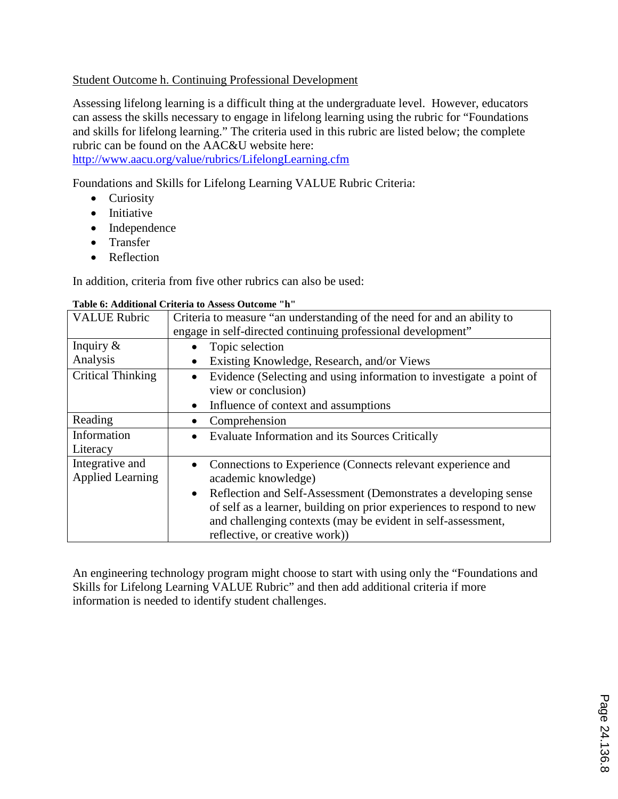#### Student Outcome h. Continuing Professional Development

Assessing lifelong learning is a difficult thing at the undergraduate level. However, educators can assess the skills necessary to engage in lifelong learning using the rubric for "Foundations and skills for lifelong learning." The criteria used in this rubric are listed below; the complete rubric can be found on the AAC&U website here:

http://www.aacu.org/value/rubrics/LifelongLearning.cfm

Foundations and Skills for Lifelong Learning VALUE Rubric Criteria:

- Curiosity
- Initiative
- Independence
- Transfer
- Reflection

In addition, criteria from five other rubrics can also be used:

#### **Table 6: Additional Criteria to Assess Outcome "h"**

| <b>VALUE Rubric</b>      | Criteria to measure "an understanding of the need for and an ability to      |  |  |  |  |
|--------------------------|------------------------------------------------------------------------------|--|--|--|--|
|                          | engage in self-directed continuing professional development"                 |  |  |  |  |
| Inquiry $\&$             | Topic selection                                                              |  |  |  |  |
| Analysis                 | Existing Knowledge, Research, and/or Views                                   |  |  |  |  |
| <b>Critical Thinking</b> | Evidence (Selecting and using information to investigate a point of          |  |  |  |  |
|                          | view or conclusion)                                                          |  |  |  |  |
|                          | Influence of context and assumptions<br>$\bullet$                            |  |  |  |  |
| Reading                  | Comprehension                                                                |  |  |  |  |
| Information              | <b>Evaluate Information and its Sources Critically</b>                       |  |  |  |  |
| Literacy                 |                                                                              |  |  |  |  |
| Integrative and          | Connections to Experience (Connects relevant experience and<br>$\bullet$     |  |  |  |  |
| <b>Applied Learning</b>  | academic knowledge)                                                          |  |  |  |  |
|                          | Reflection and Self-Assessment (Demonstrates a developing sense<br>$\bullet$ |  |  |  |  |
|                          | of self as a learner, building on prior experiences to respond to new        |  |  |  |  |
|                          | and challenging contexts (may be evident in self-assessment,                 |  |  |  |  |
|                          | reflective, or creative work))                                               |  |  |  |  |

An engineering technology program might choose to start with using only the "Foundations and Skills for Lifelong Learning VALUE Rubric" and then add additional criteria if more information is needed to identify student challenges.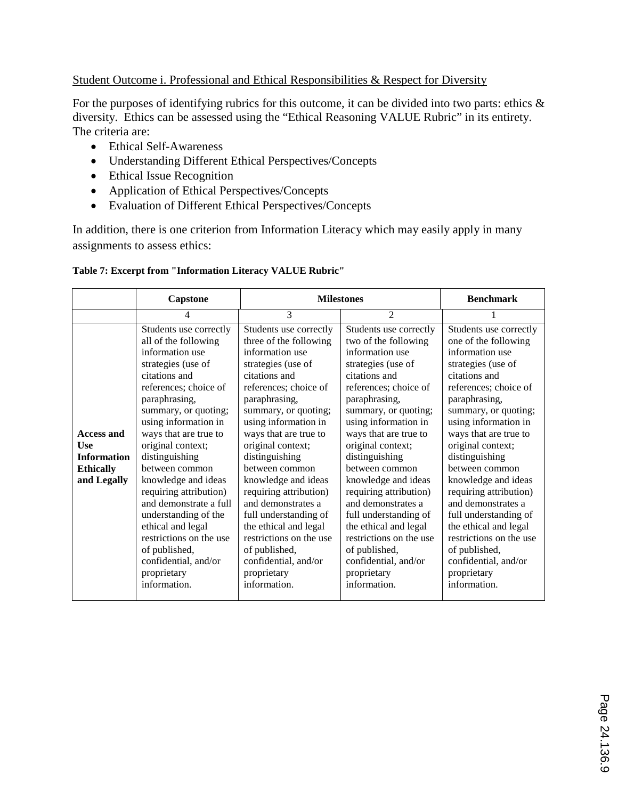#### Student Outcome i. Professional and Ethical Responsibilities & Respect for Diversity

For the purposes of identifying rubrics for this outcome, it can be divided into two parts: ethics  $\&$ diversity. Ethics can be assessed using the "Ethical Reasoning VALUE Rubric" in its entirety. The criteria are:

- Ethical Self-Awareness
- Understanding Different Ethical Perspectives/Concepts
- Ethical Issue Recognition
- Application of Ethical Perspectives/Concepts
- Evaluation of Different Ethical Perspectives/Concepts

In addition, there is one criterion from Information Literacy which may easily apply in many assignments to assess ethics:

#### **Table 7: Excerpt from "Information Literacy VALUE Rubric"**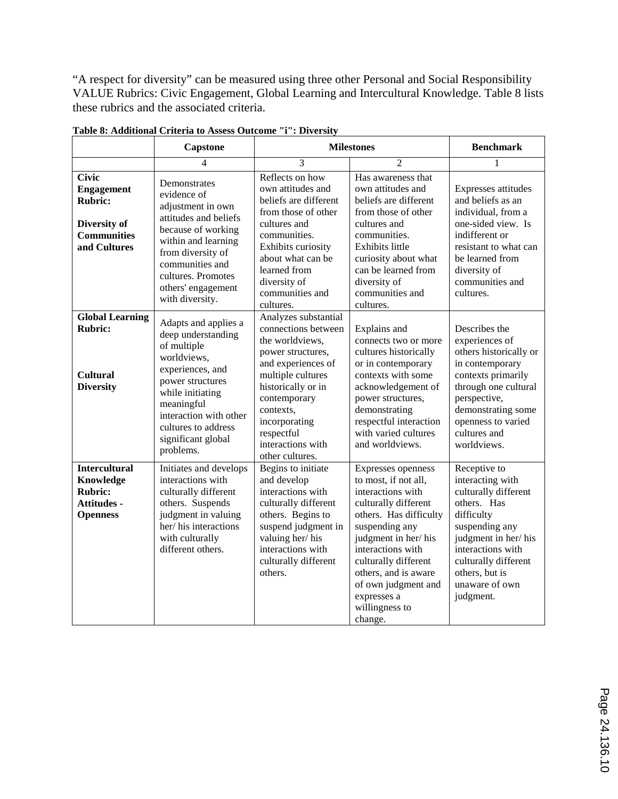"A respect for diversity" can be measured using three other Personal and Social Responsibility VALUE Rubrics: Civic Engagement, Global Learning and Intercultural Knowledge. Table 8 lists these rubrics and the associated criteria.

|                                                                                                           | <b>Capstone</b>                                                                                                                                                                                                                        | <b>Milestones</b>                                                                                                                                                                                                                                        | <b>Benchmark</b>                                                                                                                                                                                                                                                                                   |                                                                                                                                                                                                                              |
|-----------------------------------------------------------------------------------------------------------|----------------------------------------------------------------------------------------------------------------------------------------------------------------------------------------------------------------------------------------|----------------------------------------------------------------------------------------------------------------------------------------------------------------------------------------------------------------------------------------------------------|----------------------------------------------------------------------------------------------------------------------------------------------------------------------------------------------------------------------------------------------------------------------------------------------------|------------------------------------------------------------------------------------------------------------------------------------------------------------------------------------------------------------------------------|
|                                                                                                           | 4                                                                                                                                                                                                                                      | 3                                                                                                                                                                                                                                                        | $\mathfrak{D}$                                                                                                                                                                                                                                                                                     | 1                                                                                                                                                                                                                            |
| <b>Civic</b><br><b>Engagement</b><br><b>Rubric:</b><br>Diversity of<br><b>Communities</b><br>and Cultures | Demonstrates<br>evidence of<br>adjustment in own<br>attitudes and beliefs<br>because of working<br>within and learning<br>from diversity of<br>communities and<br>cultures. Promotes<br>others' engagement<br>with diversity.          | Reflects on how<br>own attitudes and<br>beliefs are different<br>from those of other<br>cultures and<br>communities.<br>Exhibits curiosity<br>about what can be<br>learned from<br>diversity of<br>communities and<br>cultures.                          | Has awareness that<br>own attitudes and<br>beliefs are different<br>from those of other<br>cultures and<br>communities.<br><b>Exhibits little</b><br>curiosity about what<br>can be learned from<br>diversity of<br>communities and<br>cultures.                                                   | Expresses attitudes<br>and beliefs as an<br>individual, from a<br>one-sided view. Is<br>indifferent or<br>resistant to what can<br>be learned from<br>diversity of<br>communities and<br>cultures.                           |
| <b>Global Learning</b><br><b>Rubric:</b><br><b>Cultural</b><br><b>Diversity</b>                           | Adapts and applies a<br>deep understanding<br>of multiple<br>worldviews,<br>experiences, and<br>power structures<br>while initiating<br>meaningful<br>interaction with other<br>cultures to address<br>significant global<br>problems. | Analyzes substantial<br>connections between<br>the worldviews.<br>power structures,<br>and experiences of<br>multiple cultures<br>historically or in<br>contemporary<br>contexts,<br>incorporating<br>respectful<br>interactions with<br>other cultures. | Explains and<br>connects two or more<br>cultures historically<br>or in contemporary<br>contexts with some<br>acknowledgement of<br>power structures,<br>demonstrating<br>respectful interaction<br>with varied cultures<br>and worldviews.                                                         | Describes the<br>experiences of<br>others historically or<br>in contemporary<br>contexts primarily<br>through one cultural<br>perspective,<br>demonstrating some<br>openness to varied<br>cultures and<br>worldviews.        |
| <b>Intercultural</b><br>Knowledge<br><b>Rubric:</b><br><b>Attitudes -</b><br><b>Openness</b>              | Initiates and develops<br>interactions with<br>culturally different<br>others. Suspends<br>judgment in valuing<br>her/his interactions<br>with culturally<br>different others.                                                         | Begins to initiate<br>and develop<br>interactions with<br>culturally different<br>others. Begins to<br>suspend judgment in<br>valuing her/his<br>interactions with<br>culturally different<br>others.                                                    | Expresses openness<br>to most, if not all,<br>interactions with<br>culturally different<br>others. Has difficulty<br>suspending any<br>judgment in her/his<br>interactions with<br>culturally different<br>others, and is aware<br>of own judgment and<br>expresses a<br>willingness to<br>change. | Receptive to<br>interacting with<br>culturally different<br>others. Has<br>difficulty<br>suspending any<br>judgment in her/his<br>interactions with<br>culturally different<br>others, but is<br>unaware of own<br>judgment. |

**Table 8: Additional Criteria to Assess Outcome "i": Diversity**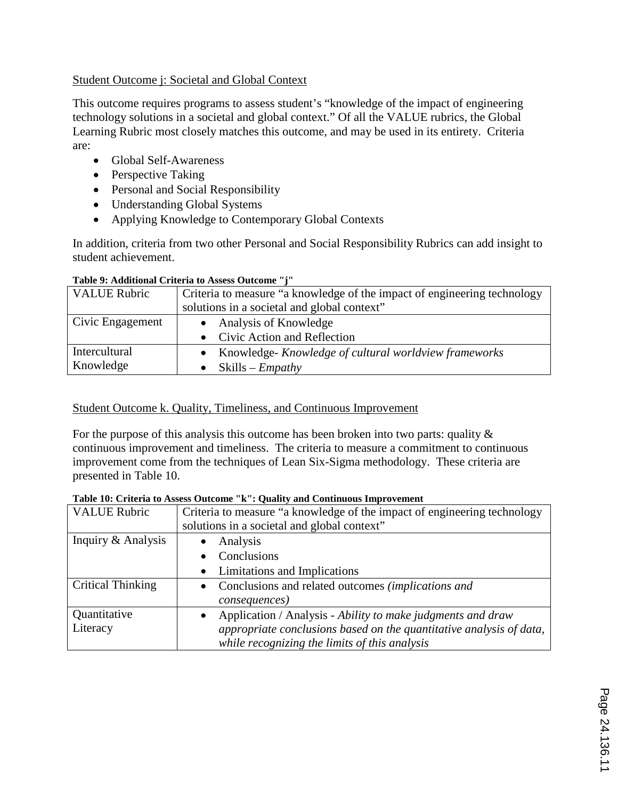#### Student Outcome j: Societal and Global Context

This outcome requires programs to assess student's "knowledge of the impact of engineering technology solutions in a societal and global context." Of all the VALUE rubrics, the Global Learning Rubric most closely matches this outcome, and may be used in its entirety. Criteria are:

- Global Self-Awareness
- Perspective Taking
- Personal and Social Responsibility
- Understanding Global Systems
- Applying Knowledge to Contemporary Global Contexts

In addition, criteria from two other Personal and Social Responsibility Rubrics can add insight to student achievement.

| <b>VALUE Rubric</b> | Criteria to measure "a knowledge of the impact of engineering technology |  |  |  |  |
|---------------------|--------------------------------------------------------------------------|--|--|--|--|
|                     | solutions in a societal and global context"                              |  |  |  |  |
| Civic Engagement    | • Analysis of Knowledge                                                  |  |  |  |  |
|                     | • Civic Action and Reflection                                            |  |  |  |  |
| Intercultural       | • Knowledge-Knowledge of cultural worldview frameworks                   |  |  |  |  |
| Knowledge           | $Skills - Empathy$                                                       |  |  |  |  |

#### **Table 9: Additional Criteria to Assess Outcome "j"**

#### Student Outcome k. Quality, Timeliness, and Continuous Improvement

For the purpose of this analysis this outcome has been broken into two parts: quality  $\&$ continuous improvement and timeliness. The criteria to measure a commitment to continuous improvement come from the techniques of Lean Six-Sigma methodology. These criteria are presented in Table 10.

| <b>VALUE Rubric</b>      | Criteria to measure "a knowledge of the impact of engineering technology |  |  |  |
|--------------------------|--------------------------------------------------------------------------|--|--|--|
|                          | solutions in a societal and global context"                              |  |  |  |
| Inquiry & Analysis       | Analysis<br>$\bullet$                                                    |  |  |  |
|                          | Conclusions                                                              |  |  |  |
|                          | • Limitations and Implications                                           |  |  |  |
| <b>Critical Thinking</b> | • Conclusions and related outcomes (implications and                     |  |  |  |
|                          | <i>consequences</i> )                                                    |  |  |  |
| Quantitative             | Application / Analysis - Ability to make judgments and draw              |  |  |  |
| Literacy                 | appropriate conclusions based on the quantitative analysis of data,      |  |  |  |
|                          | while recognizing the limits of this analysis                            |  |  |  |

## **Table 10: Criteria to Assess Outcome "k": Quality and Continuous Improvement**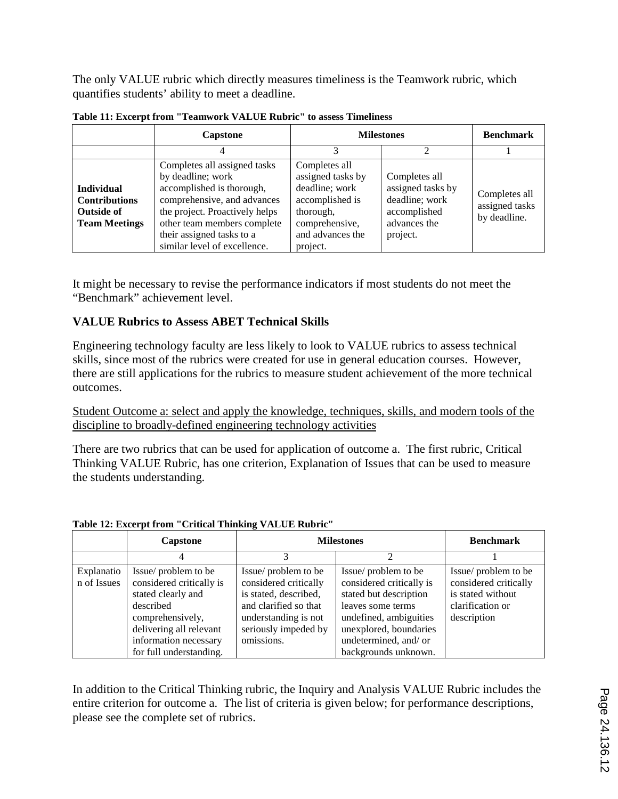The only VALUE rubric which directly measures timeliness is the Teamwork rubric, which quantifies students' ability to meet a deadline.

|                                                                                        | <b>Capstone</b>                                                                                                                                                                                                                             | <b>Milestones</b>                                                                                                                      | <b>Benchmark</b>                                                                                 |                                                 |
|----------------------------------------------------------------------------------------|---------------------------------------------------------------------------------------------------------------------------------------------------------------------------------------------------------------------------------------------|----------------------------------------------------------------------------------------------------------------------------------------|--------------------------------------------------------------------------------------------------|-------------------------------------------------|
|                                                                                        |                                                                                                                                                                                                                                             |                                                                                                                                        |                                                                                                  |                                                 |
| <b>Individual</b><br><b>Contributions</b><br><b>Outside of</b><br><b>Team Meetings</b> | Completes all assigned tasks<br>by deadline; work<br>accomplished is thorough,<br>comprehensive, and advances<br>the project. Proactively helps<br>other team members complete<br>their assigned tasks to a<br>similar level of excellence. | Completes all<br>assigned tasks by<br>deadline; work<br>accomplished is<br>thorough,<br>comprehensive,<br>and advances the<br>project. | Completes all<br>assigned tasks by<br>deadline; work<br>accomplished<br>advances the<br>project. | Completes all<br>assigned tasks<br>by deadline. |

**Table 11: Excerpt from "Teamwork VALUE Rubric" to assess Timeliness**

It might be necessary to revise the performance indicators if most students do not meet the "Benchmark" achievement level.

#### **VALUE Rubrics to Assess ABET Technical Skills**

Engineering technology faculty are less likely to look to VALUE rubrics to assess technical skills, since most of the rubrics were created for use in general education courses. However, there are still applications for the rubrics to measure student achievement of the more technical outcomes.

Student Outcome a: select and apply the knowledge, techniques, skills, and modern tools of the discipline to broadly-defined engineering technology activities

There are two rubrics that can be used for application of outcome a. The first rubric, Critical Thinking VALUE Rubric, has one criterion, Explanation of Issues that can be used to measure the students understanding.

|                           | Capstone                                                                                                                                                                              | <b>Milestones</b>                                                                                                                                            |                                                                                                                                                                                                     | <b>Benchmark</b>                                                                                     |
|---------------------------|---------------------------------------------------------------------------------------------------------------------------------------------------------------------------------------|--------------------------------------------------------------------------------------------------------------------------------------------------------------|-----------------------------------------------------------------------------------------------------------------------------------------------------------------------------------------------------|------------------------------------------------------------------------------------------------------|
|                           |                                                                                                                                                                                       |                                                                                                                                                              |                                                                                                                                                                                                     |                                                                                                      |
| Explanatio<br>n of Issues | Issue/problem to be<br>considered critically is<br>stated clearly and<br>described<br>comprehensively,<br>delivering all relevant<br>information necessary<br>for full understanding. | Issue/problem to be<br>considered critically<br>is stated, described,<br>and clarified so that<br>understanding is not<br>seriously impeded by<br>omissions. | Issue/problem to be<br>considered critically is<br>stated but description<br>leaves some terms<br>undefined, ambiguities<br>unexplored, boundaries<br>undetermined, and/ or<br>backgrounds unknown. | Issue/problem to be<br>considered critically<br>is stated without<br>clarification or<br>description |

#### **Table 12: Excerpt from "Critical Thinking VALUE Rubric"**

In addition to the Critical Thinking rubric, the Inquiry and Analysis VALUE Rubric includes the entire criterion for outcome a. The list of criteria is given below; for performance descriptions, please see the complete set of rubrics.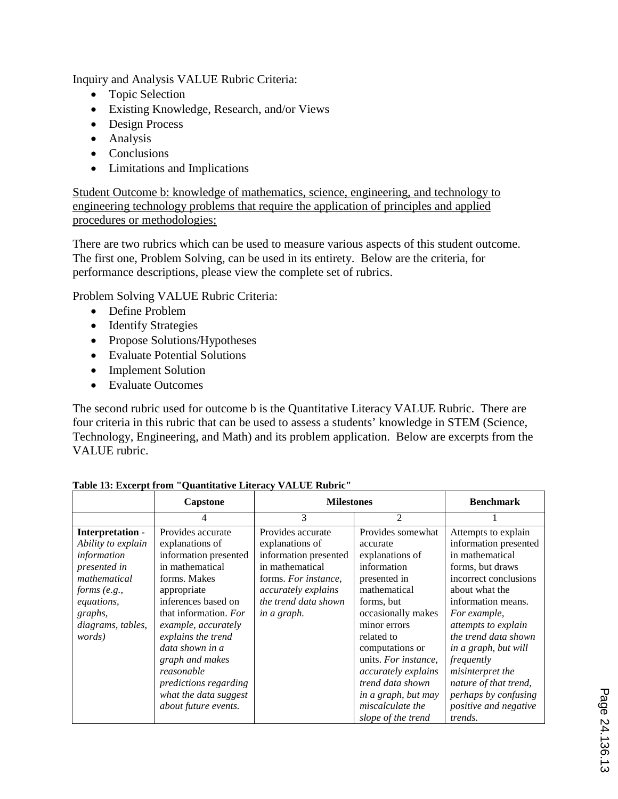Inquiry and Analysis VALUE Rubric Criteria:

- Topic Selection
- Existing Knowledge, Research, and/or Views
- Design Process
- Analysis
- Conclusions
- Limitations and Implications

Student Outcome b: knowledge of mathematics, science, engineering, and technology to engineering technology problems that require the application of principles and applied procedures or methodologies;

There are two rubrics which can be used to measure various aspects of this student outcome. The first one, Problem Solving, can be used in its entirety. Below are the criteria, for performance descriptions, please view the complete set of rubrics.

Problem Solving VALUE Rubric Criteria:

- Define Problem
- Identify Strategies
- Propose Solutions/Hypotheses
- Evaluate Potential Solutions
- Implement Solution
- Evaluate Outcomes

The second rubric used for outcome b is the Quantitative Literacy VALUE Rubric. There are four criteria in this rubric that can be used to assess a students' knowledge in STEM (Science, Technology, Engineering, and Math) and its problem application. Below are excerpts from the VALUE rubric.

|                                                                                                                                                               | Capstone                                                                                                                                                                                                                                                                                                                                   | <b>Milestones</b>                                                                                                                                                      |                                                                                                                                                                                                                                                                                                                          | <b>Benchmark</b>                                                                                                                                                                                                                                                                                                                                                          |
|---------------------------------------------------------------------------------------------------------------------------------------------------------------|--------------------------------------------------------------------------------------------------------------------------------------------------------------------------------------------------------------------------------------------------------------------------------------------------------------------------------------------|------------------------------------------------------------------------------------------------------------------------------------------------------------------------|--------------------------------------------------------------------------------------------------------------------------------------------------------------------------------------------------------------------------------------------------------------------------------------------------------------------------|---------------------------------------------------------------------------------------------------------------------------------------------------------------------------------------------------------------------------------------------------------------------------------------------------------------------------------------------------------------------------|
|                                                                                                                                                               | 4                                                                                                                                                                                                                                                                                                                                          | 3                                                                                                                                                                      | 2                                                                                                                                                                                                                                                                                                                        |                                                                                                                                                                                                                                                                                                                                                                           |
| Interpretation -<br>Ability to explain<br>information<br>presented in<br>mathematical<br>forms (e.g.,<br>equations,<br>graphs,<br>diagrams, tables,<br>words) | Provides accurate<br>explanations of<br>information presented<br>in mathematical<br>forms. Makes<br>appropriate<br>inferences based on<br>that information. For<br>example, accurately<br>explains the trend<br>data shown in a<br>graph and makes<br>reasonable<br>predictions regarding<br>what the data suggest<br>about future events. | Provides accurate<br>explanations of<br>information presented<br>in mathematical<br>forms. For instance,<br>accurately explains<br>the trend data shown<br>in a graph. | Provides somewhat<br>accurate<br>explanations of<br>information<br>presented in<br>mathematical<br>forms, but<br>occasionally makes<br>minor errors<br>related to<br>computations or<br>units. For instance,<br>accurately explains<br>trend data shown<br>in a graph, but may<br>miscalculate the<br>slope of the trend | Attempts to explain<br>information presented<br>in mathematical<br>forms, but draws<br>incorrect conclusions<br>about what the<br>information means.<br>For example,<br>attempts to explain<br>the trend data shown<br>in a graph, but will<br>frequently<br>misinterpret the<br>nature of that trend,<br>perhaps by confusing<br>positive and negative<br><i>trends.</i> |

**Table 13: Excerpt from "Quantitative Literacy VALUE Rubric"**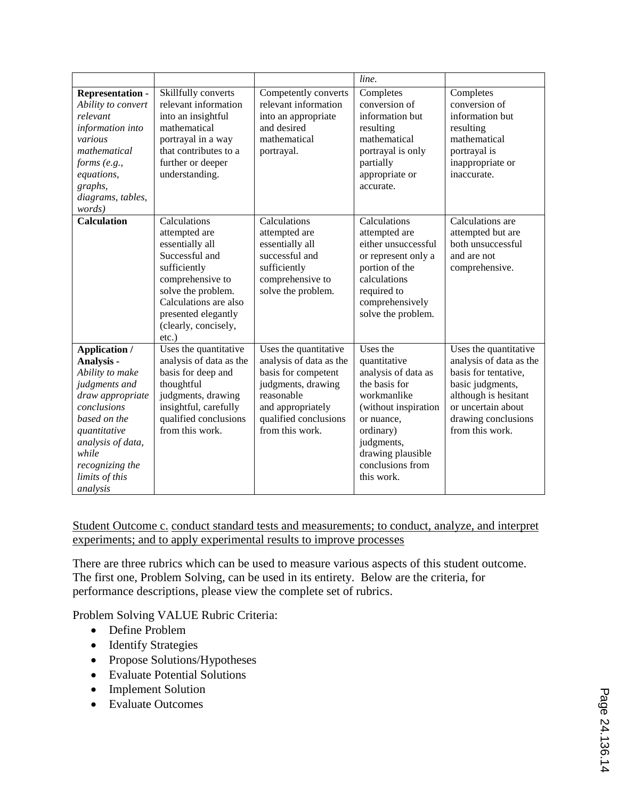|                                                                                                                                                                                                                   |                                                                                                                                                                                                                  |                                                                                                                                                                              | line.                                                                                                                                                                                                   |                                                                                                                                                                                      |
|-------------------------------------------------------------------------------------------------------------------------------------------------------------------------------------------------------------------|------------------------------------------------------------------------------------------------------------------------------------------------------------------------------------------------------------------|------------------------------------------------------------------------------------------------------------------------------------------------------------------------------|---------------------------------------------------------------------------------------------------------------------------------------------------------------------------------------------------------|--------------------------------------------------------------------------------------------------------------------------------------------------------------------------------------|
| <b>Representation -</b><br>Ability to convert<br>relevant<br>information into<br>various<br>mathematical<br>forms (e.g.,<br>equations,<br>graphs,<br>diagrams, tables,<br>words)                                  | Skillfully converts<br>relevant information<br>into an insightful<br>mathematical<br>portrayal in a way<br>that contributes to a<br>further or deeper<br>understanding.                                          | Competently converts<br>relevant information<br>into an appropriate<br>and desired<br>mathematical<br>portrayal.                                                             | Completes<br>conversion of<br>information but<br>resulting<br>mathematical<br>portrayal is only<br>partially<br>appropriate or<br>accurate.                                                             | Completes<br>conversion of<br>information but<br>resulting<br>mathematical<br>portrayal is<br>inappropriate or<br>inaccurate.                                                        |
| <b>Calculation</b>                                                                                                                                                                                                | Calculations<br>attempted are<br>essentially all<br>Successful and<br>sufficiently<br>comprehensive to<br>solve the problem.<br>Calculations are also<br>presented elegantly<br>(clearly, concisely,<br>$etc.$ ) | Calculations<br>attempted are<br>essentially all<br>successful and<br>sufficiently<br>comprehensive to<br>solve the problem.                                                 | Calculations<br>attempted are<br>either unsuccessful<br>or represent only a<br>portion of the<br>calculations<br>required to<br>comprehensively<br>solve the problem.                                   | Calculations are<br>attempted but are<br>both unsuccessful<br>and are not<br>comprehensive.                                                                                          |
| Application /<br>Analysis -<br>Ability to make<br>judgments and<br>draw appropriate<br>conclusions<br>based on the<br>quantitative<br>analysis of data,<br>while<br>recognizing the<br>limits of this<br>analysis | Uses the quantitative<br>analysis of data as the<br>basis for deep and<br>thoughtful<br>judgments, drawing<br>insightful, carefully<br>qualified conclusions<br>from this work.                                  | Uses the quantitative<br>analysis of data as the<br>basis for competent<br>judgments, drawing<br>reasonable<br>and appropriately<br>qualified conclusions<br>from this work. | Uses the<br>quantitative<br>analysis of data as<br>the basis for<br>workmanlike<br>(without inspiration<br>or nuance,<br>ordinary)<br>judgments,<br>drawing plausible<br>conclusions from<br>this work. | Uses the quantitative<br>analysis of data as the<br>basis for tentative.<br>basic judgments,<br>although is hesitant<br>or uncertain about<br>drawing conclusions<br>from this work. |

Student Outcome c. conduct standard tests and measurements; to conduct, analyze, and interpret experiments; and to apply experimental results to improve processes

There are three rubrics which can be used to measure various aspects of this student outcome. The first one, Problem Solving, can be used in its entirety. Below are the criteria, for performance descriptions, please view the complete set of rubrics.

Problem Solving VALUE Rubric Criteria:

- Define Problem
- Identify Strategies
- Propose Solutions/Hypotheses
- Evaluate Potential Solutions
- Implement Solution
- Evaluate Outcomes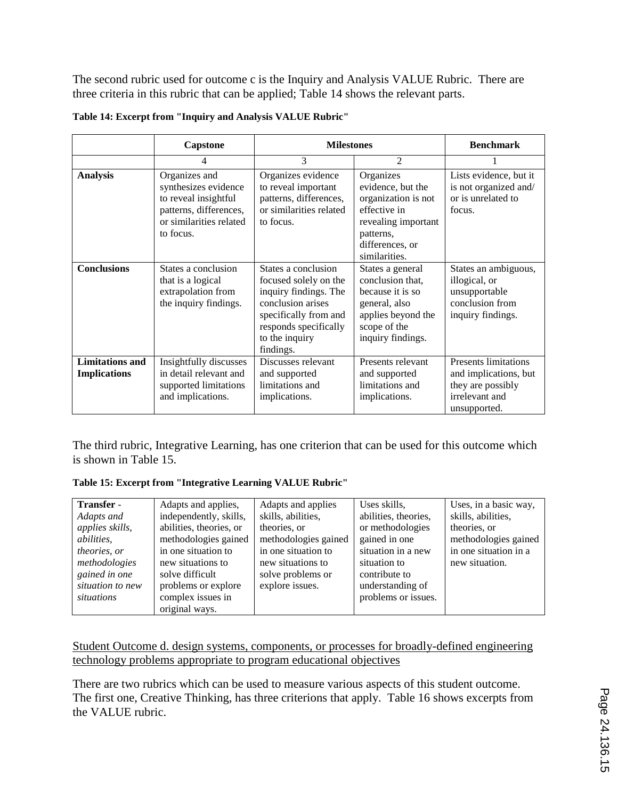The second rubric used for outcome c is the Inquiry and Analysis VALUE Rubric. There are three criteria in this rubric that can be applied; Table 14 shows the relevant parts.

|                                               | Capstone                                                                                                                        | <b>Milestones</b>                                                                                                                                                           |                                                                                                                                               | <b>Benchmark</b>                                                                                            |
|-----------------------------------------------|---------------------------------------------------------------------------------------------------------------------------------|-----------------------------------------------------------------------------------------------------------------------------------------------------------------------------|-----------------------------------------------------------------------------------------------------------------------------------------------|-------------------------------------------------------------------------------------------------------------|
|                                               | 4                                                                                                                               | 3                                                                                                                                                                           | $\overline{2}$                                                                                                                                |                                                                                                             |
| <b>Analysis</b>                               | Organizes and<br>synthesizes evidence<br>to reveal insightful<br>patterns, differences,<br>or similarities related<br>to focus. | Organizes evidence<br>to reveal important<br>patterns, differences,<br>or similarities related<br>to focus.                                                                 | Organizes<br>evidence, but the<br>organization is not<br>effective in<br>revealing important<br>patterns,<br>differences, or<br>similarities. | Lists evidence, but it<br>is not organized and/<br>or is unrelated to<br>focus.                             |
| <b>Conclusions</b>                            | States a conclusion<br>that is a logical<br>extrapolation from<br>the inquiry findings.                                         | States a conclusion<br>focused solely on the<br>inquiry findings. The<br>conclusion arises<br>specifically from and<br>responds specifically<br>to the inquiry<br>findings. | States a general<br>conclusion that,<br>because it is so<br>general, also<br>applies beyond the<br>scope of the<br>inquiry findings.          | States an ambiguous,<br>illogical, or<br>unsupportable<br>conclusion from<br>inquiry findings.              |
| <b>Limitations</b> and<br><b>Implications</b> | Insightfully discusses<br>in detail relevant and<br>supported limitations<br>and implications.                                  | Discusses relevant<br>and supported<br>limitations and<br>implications.                                                                                                     | Presents relevant<br>and supported<br>limitations and<br>implications.                                                                        | <b>Presents limitations</b><br>and implications, but<br>they are possibly<br>irrelevant and<br>unsupported. |

The third rubric, Integrative Learning, has one criterion that can be used for this outcome which is shown in Table 15.

**Table 15: Excerpt from "Integrative Learning VALUE Rubric"**

| Transfer -        | Adapts and applies,     | Adapts and applies   | Uses skills,         | Uses, in a basic way, |
|-------------------|-------------------------|----------------------|----------------------|-----------------------|
|                   |                         |                      |                      |                       |
| Adapts and        | independently, skills,  | skills, abilities,   | abilities, theories, | skills, abilities,    |
| applies skills,   | abilities, theories, or | theories, or         | or methodologies     | theories, or          |
| <i>abilities,</i> | methodologies gained    | methodologies gained | gained in one        | methodologies gained  |
| theories, or      | in one situation to     | in one situation to  | situation in a new   | in one situation in a |
| methodologies     | new situations to       | new situations to    | situation to         | new situation.        |
| gained in one     | solve difficult         | solve problems or    | contribute to        |                       |
| situation to new  | problems or explore     | explore issues.      | understanding of     |                       |
| situations        | complex issues in       |                      | problems or issues.  |                       |
|                   | original ways.          |                      |                      |                       |

#### Student Outcome d. design systems, components, or processes for broadly-defined engineering technology problems appropriate to program educational objectives

There are two rubrics which can be used to measure various aspects of this student outcome. The first one, Creative Thinking, has three criterions that apply. Table 16 shows excerpts from the VALUE rubric.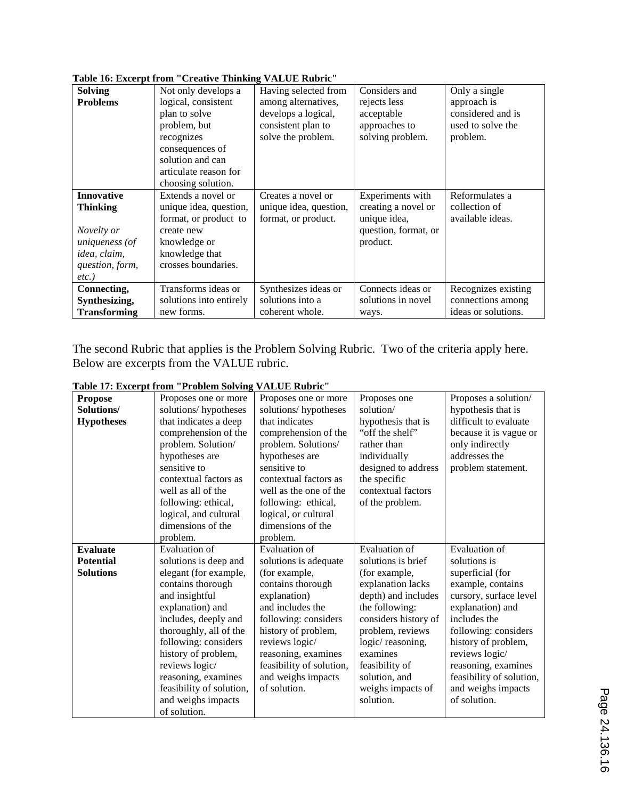| <b>Solving</b>      | Not only develops a     | Having selected from   | Considers and        | Only a single       |
|---------------------|-------------------------|------------------------|----------------------|---------------------|
| <b>Problems</b>     | logical, consistent     | among alternatives,    | rejects less         | approach is         |
|                     | plan to solve           | develops a logical,    | acceptable           | considered and is   |
|                     | problem, but            | consistent plan to     | approaches to        | used to solve the   |
|                     | recognizes              | solve the problem.     | solving problem.     | problem.            |
|                     | consequences of         |                        |                      |                     |
|                     | solution and can        |                        |                      |                     |
|                     | articulate reason for   |                        |                      |                     |
|                     | choosing solution.      |                        |                      |                     |
| <b>Innovative</b>   | Extends a novel or      | Creates a novel or     | Experiments with     | Reformulates a      |
| <b>Thinking</b>     | unique idea, question,  | unique idea, question, | creating a novel or  | collection of       |
|                     | format, or product to   | format, or product.    | unique idea,         | available ideas.    |
| Novelty or          | create new              |                        | question, format, or |                     |
| uniqueness (of      | knowledge or            |                        | product.             |                     |
| idea, claim,        | knowledge that          |                        |                      |                     |
| question, form,     | crosses boundaries.     |                        |                      |                     |
| $etc.$ )            |                         |                        |                      |                     |
| Connecting,         | Transforms ideas or     | Synthesizes ideas or   | Connects ideas or    | Recognizes existing |
| Synthesizing,       | solutions into entirely | solutions into a       | solutions in novel   | connections among   |
| <b>Transforming</b> | new forms.              | coherent whole.        | ways.                | ideas or solutions. |
|                     |                         |                        |                      |                     |

**Table 16: Excerpt from "Creative Thinking VALUE Rubric"**

The second Rubric that applies is the Problem Solving Rubric. Two of the criteria apply here. Below are excerpts from the VALUE rubric.

| Table 17: Excerpt from "Problem Solving VALUE Rubric" |  |  |  |  |  |
|-------------------------------------------------------|--|--|--|--|--|
|-------------------------------------------------------|--|--|--|--|--|

|                   | rabit 17. Exterpt from Trobitm borting | THEFT MOTH               |                      |                          |
|-------------------|----------------------------------------|--------------------------|----------------------|--------------------------|
| <b>Propose</b>    | Proposes one or more                   | Proposes one or more     | Proposes one         | Proposes a solution/     |
| Solutions/        | solutions/hypotheses                   | solutions/hypotheses     | solution/            | hypothesis that is       |
| <b>Hypotheses</b> | that indicates a deep                  | that indicates           | hypothesis that is   | difficult to evaluate    |
|                   | comprehension of the                   | comprehension of the     | "off the shelf"      | because it is vague or   |
|                   | problem. Solution/                     | problem. Solutions/      | rather than          | only indirectly          |
|                   | hypotheses are                         | hypotheses are           | individually         | addresses the            |
|                   | sensitive to                           | sensitive to             | designed to address  | problem statement.       |
|                   | contextual factors as                  | contextual factors as    | the specific         |                          |
|                   | well as all of the                     | well as the one of the   | contextual factors   |                          |
|                   | following: ethical,                    | following: ethical,      | of the problem.      |                          |
|                   | logical, and cultural                  | logical, or cultural     |                      |                          |
|                   | dimensions of the                      | dimensions of the        |                      |                          |
|                   | problem.                               | problem.                 |                      |                          |
| <b>Evaluate</b>   | Evaluation of                          | <b>Evaluation of</b>     | <b>Evaluation</b> of | <b>Evaluation</b> of     |
| <b>Potential</b>  | solutions is deep and                  | solutions is adequate    | solutions is brief   | solutions is             |
| <b>Solutions</b>  | elegant (for example,                  | (for example,            | (for example,        | superficial (for         |
|                   | contains thorough                      | contains thorough        | explanation lacks    | example, contains        |
|                   | and insightful                         | explanation)             | depth) and includes  | cursory, surface level   |
|                   | explanation) and                       | and includes the         | the following:       | explanation) and         |
|                   | includes, deeply and                   | following: considers     | considers history of | includes the             |
|                   | thoroughly, all of the                 | history of problem,      | problem, reviews     | following: considers     |
|                   | following: considers                   | reviews logic/           | logic/reasoning,     | history of problem,      |
|                   | history of problem,                    | reasoning, examines      | examines             | reviews logic/           |
|                   | reviews logic/                         | feasibility of solution, | feasibility of       | reasoning, examines      |
|                   | reasoning, examines                    | and weighs impacts       | solution, and        | feasibility of solution, |
|                   | feasibility of solution,               | of solution.             | weighs impacts of    | and weighs impacts       |
|                   | and weighs impacts                     |                          | solution.            | of solution.             |
|                   | of solution.                           |                          |                      |                          |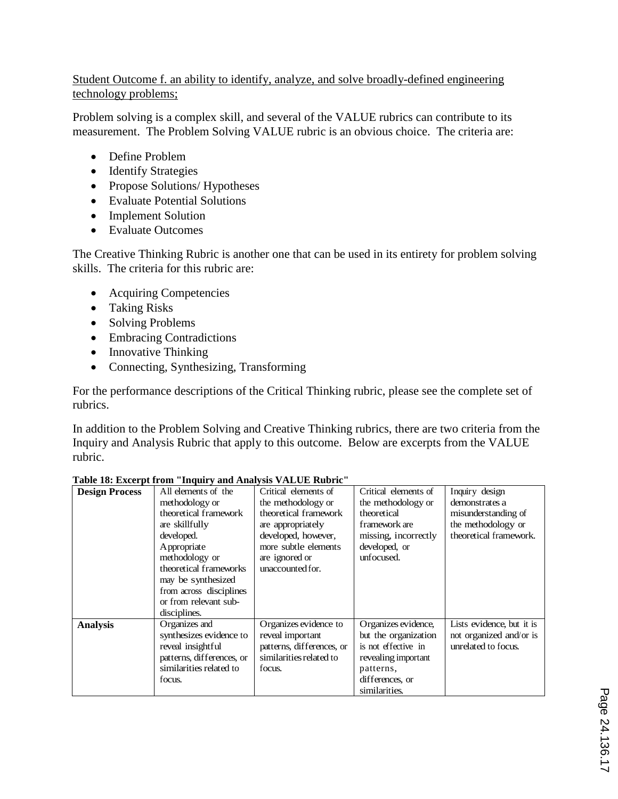#### Student Outcome f. an ability to identify, analyze, and solve broadly-defined engineering technology problems;

Problem solving is a complex skill, and several of the VALUE rubrics can contribute to its measurement. The Problem Solving VALUE rubric is an obvious choice. The criteria are:

- Define Problem
- Identify Strategies
- Propose Solutions/ Hypotheses
- Evaluate Potential Solutions
- Implement Solution
- Evaluate Outcomes

The Creative Thinking Rubric is another one that can be used in its entirety for problem solving skills. The criteria for this rubric are:

- Acquiring Competencies
- Taking Risks
- Solving Problems
- Embracing Contradictions
- Innovative Thinking
- Connecting, Synthesizing, Transforming

For the performance descriptions of the Critical Thinking rubric, please see the complete set of rubrics.

In addition to the Problem Solving and Creative Thinking rubrics, there are two criteria from the Inquiry and Analysis Rubric that apply to this outcome. Below are excerpts from the VALUE rubric.

|                       | $\mathbf{r}$ to, $\mathbf{r}$ and $\mathbf{r}$ and $\mathbf{r}$ and $\mathbf{r}$ and $\mathbf{r}$ and $\mathbf{r}$ and $\mathbf{r}$ and $\mathbf{r}$ |                           |                      |                           |
|-----------------------|------------------------------------------------------------------------------------------------------------------------------------------------------|---------------------------|----------------------|---------------------------|
| <b>Design Process</b> | All elements of the                                                                                                                                  | Critical elements of      | Critical elements of | Inquiry design            |
|                       | methodology or                                                                                                                                       | the methodology or        | the methodology or   | demonstrates a            |
|                       | theoretical framework                                                                                                                                | theoretical framework     | theoretical          | misunderstanding of       |
|                       | are skillfully                                                                                                                                       | are appropriately         | framework are        | the methodology or        |
|                       | developed.                                                                                                                                           | developed, however,       | missing, incorrectly | theoretical framework.    |
|                       | Appropriate                                                                                                                                          | more subtle elements      | developed, or        |                           |
|                       | methodology or                                                                                                                                       | are ignored or            | unfocused.           |                           |
|                       | theoretical frameworks                                                                                                                               | unaccounted for.          |                      |                           |
|                       | may be synthesized                                                                                                                                   |                           |                      |                           |
|                       | from across disciplines                                                                                                                              |                           |                      |                           |
|                       | or from relevant sub-                                                                                                                                |                           |                      |                           |
|                       | disciplines.                                                                                                                                         |                           |                      |                           |
| <b>Analysis</b>       | Organizes and                                                                                                                                        | Organizes evidence to     | Organizes evidence,  | Lists evidence, but it is |
|                       | synthesizes evidence to                                                                                                                              | reveal important          | but the organization | not organized and/or is   |
|                       | reveal insightful                                                                                                                                    | patterns, differences, or | is not effective in  | unrelated to focus.       |
|                       | patterns, differences, or                                                                                                                            | similarities related to   | revealing important  |                           |
|                       | similarities related to                                                                                                                              | focus.                    | patterns,            |                           |
|                       | focus.                                                                                                                                               |                           | differences, or      |                           |
|                       |                                                                                                                                                      |                           | similarities.        |                           |

#### **Table 18: Excerpt from "Inquiry and Analysis VALUE Rubric"**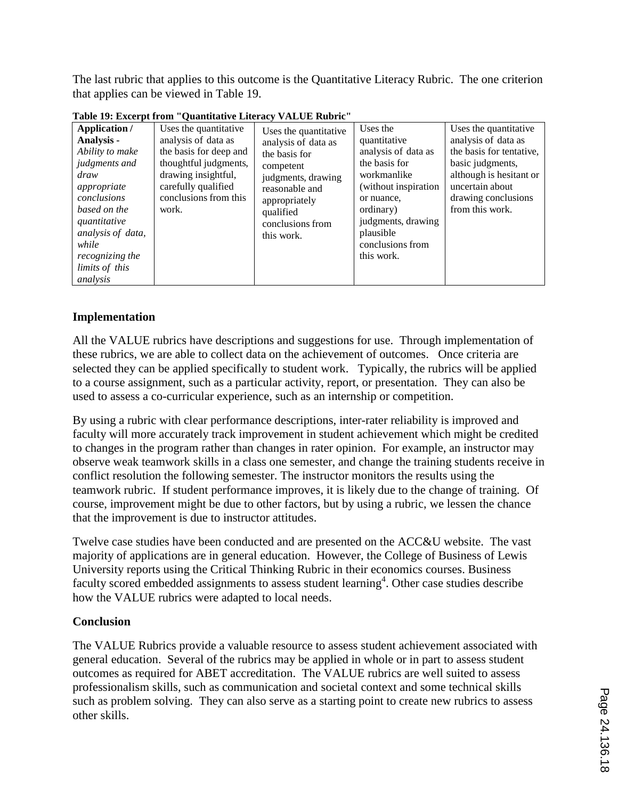The last rubric that applies to this outcome is the Quantitative Literacy Rubric. The one criterion that applies can be viewed in Table 19.

| Application /                                                                                                                                                                                              | Uses the quantitative                                                                                                                                  | Uses the quantitative                                                                                                                                     | Uses the                                                                                                                                                                                    | Uses the quantitative                                                                                                                                       |
|------------------------------------------------------------------------------------------------------------------------------------------------------------------------------------------------------------|--------------------------------------------------------------------------------------------------------------------------------------------------------|-----------------------------------------------------------------------------------------------------------------------------------------------------------|---------------------------------------------------------------------------------------------------------------------------------------------------------------------------------------------|-------------------------------------------------------------------------------------------------------------------------------------------------------------|
| Analysis -<br>Ability to make<br>judgments and<br>draw<br>appropriate<br>conclusions<br>based on the<br>quantitative<br>analysis of data,<br>while<br><i>recognizing the</i><br>limits of this<br>analysis | analysis of data as<br>the basis for deep and<br>thoughtful judgments,<br>drawing insightful,<br>carefully qualified<br>conclusions from this<br>work. | analysis of data as<br>the basis for<br>competent<br>judgments, drawing<br>reasonable and<br>appropriately<br>qualified<br>conclusions from<br>this work. | quantitative<br>analysis of data as<br>the basis for<br>workmanlike<br>(without inspiration<br>or nuance,<br>ordinary)<br>judgments, drawing<br>plausible<br>conclusions from<br>this work. | analysis of data as<br>the basis for tentative,<br>basic judgments,<br>although is hesitant or<br>uncertain about<br>drawing conclusions<br>from this work. |

**Table 19: Excerpt from "Quantitative Literacy VALUE Rubric"**

#### **Implementation**

All the VALUE rubrics have descriptions and suggestions for use. Through implementation of these rubrics, we are able to collect data on the achievement of outcomes. Once criteria are selected they can be applied specifically to student work. Typically, the rubrics will be applied to a course assignment, such as a particular activity, report, or presentation. They can also be used to assess a co-curricular experience, such as an internship or competition.

By using a rubric with clear performance descriptions, inter-rater reliability is improved and faculty will more accurately track improvement in student achievement which might be credited to changes in the program rather than changes in rater opinion. For example, an instructor may observe weak teamwork skills in a class one semester, and change the training students receive in conflict resolution the following semester. The instructor monitors the results using the teamwork rubric. If student performance improves, it is likely due to the change of training. Of course, improvement might be due to other factors, but by using a rubric, we lessen the chance that the improvement is due to instructor attitudes.

Twelve case studies have been conducted and are presented on the ACC&U website. The vast majority of applications are in general education. However, the College of Business of Lewis University reports using the Critical Thinking Rubric in their economics courses. Business faculty scored embedded assignments to assess student learning<sup>4</sup>. Other case studies describe how the VALUE rubrics were adapted to local needs.

#### **Conclusion**

The VALUE Rubrics provide a valuable resource to assess student achievement associated with general education. Several of the rubrics may be applied in whole or in part to assess student outcomes as required for ABET accreditation. The VALUE rubrics are well suited to assess professionalism skills, such as communication and societal context and some technical skills such as problem solving. They can also serve as a starting point to create new rubrics to assess other skills.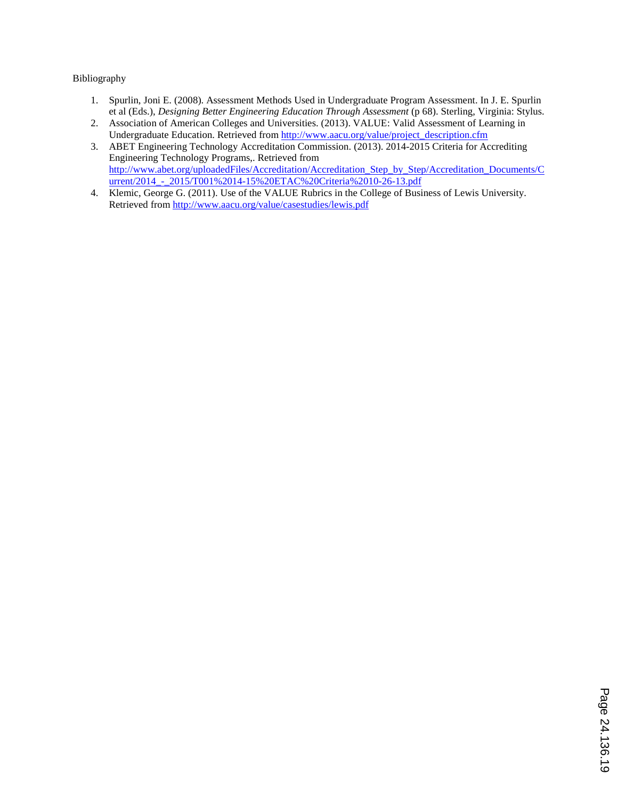#### Bibliography

- 1. Spurlin, Joni E. (2008). Assessment Methods Used in Undergraduate Program Assessment. In J. E. Spurlin et al (Eds.), *Designing Better Engineering Education Through Assessment* (p 68). Sterling, Virginia: Stylus.
- 2. Association of American Colleges and Universities. (2013). VALUE: Valid Assessment of Learning in Undergraduate Education. Retrieved from http://www.aacu.org/value/project\_description.cfm
- 3. ABET Engineering Technology Accreditation Commission. (2013). 2014-2015 Criteria for Accrediting Engineering Technology Programs,. Retrieved from http://www.abet.org/uploadedFiles/Accreditation/Accreditation\_Step\_by\_Step/Accreditation\_Documents/C urrent/2014 - 2015/T001%2014-15%20ETAC%20Criteria%2010-26-13.pdf
- 4. Klemic, George G. (2011). Use of the VALUE Rubrics in the College of Business of Lewis University. Retrieved from http://www.aacu.org/value/casestudies/lewis.pdf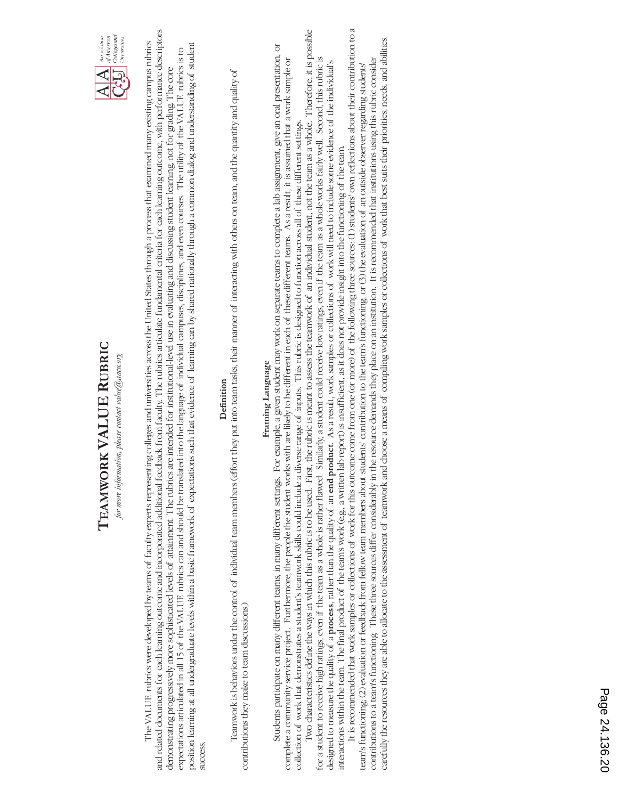

and related documents for each learning outcome and incorporated additional feedback from faculty. The rubrics articulate fundamental criteria for each learning outcome, with performance descriptors and related documents for each learning outcome and incorporated additional feedback from faculty. The rubrics articulate fundamental criteria for each learning outcome, with performance descriptors The VALUE rubrics were developed by teams of faculty experts representing colleges and universities across the United States through a process that examined many existing campus rubrics The VALUE rubrics were developed by teams of faculty experts representing colleges and universities across the United States through a process that examined many existing campus rubrics position learning at all undergraduate levels within a basic framework of expectations such that evidence of learning can by shared nationally through a common dialog and understanding of student position learning at all undergraduate levels within a basic framework of expectations such that evidence of learning can by shared nationally through a common dialog and understanding of student expectations articulated in all 15 of the VALUE rubrics can and should be translated into the language of individual campuses, disciplines, and even courses. The utility of the VALUE rubrics is to expectations articulated in all 15 of the VALUE rubrics can and should be translated into the language of individual campuses, disciplines, and even courses. The utility of the VALUE rubrics is to demonstrating progressively more sophisticated levels of attainment. The rubrics are intended for institutional-level use in evaluating and discussing student learning, not for grading. The core demonstrating progressively more sophisticated levels of attainment. The rubrics are intended for institutional-level use in evaluating and discussing student learning, not for grading. The core success. success

## Definition **Definition**

 Teamwork is behaviors under the control of individual team members (effort they put into team tasks, their manner of interacting with others on team, and the quantity and quality of Teamwork is behaviors under the control of individual team members (effort they put into team tasks, their manner of interacting with others on team, and the quantity and quality of contributions they make to team discussions.) contributions they make to team discussions.)

# Framing Language **Framing Language**

Two characteristics define the ways in which this rubric is to be used. First, the rubric is meant to assess the teamwork of an individual student, not the team as a whole. Therefore, it is possible Two characteristics define the ways in which this rubric is to be used. First, the rubric is meant to assess the teamwork of an individual student, not the team as a whole. Therefore, it is possible Students participate on many different teams, in many different settings. For example, a given student may work on separate teams to complete a lab assignment, give an oral presentation, or Students participate on many different teams, in many different settings. For example, a given student may work on separate teams to complete a lab assignment, give an oral presentation, or for a student to receive high ratings, even if the team as a whole is rather flawed. Similarly, a student could receive low ratings, even if the team as a whole works fairly well. Second, this rubric is complete a community service project. Furthermore, the people the student works with are likely to be different in each of these different teams. As a result, it is assumed that a work sample or complete a community service project. Furthermore, the people the student works with are likely to be different in each of these different teams. As a result, it is assumed that a work sample or for a student to receive high ratings, even if the team as a whole is rather flawed. Similarly, a student could receive low ratings, even if the team as a whole works fairly well. Second, this rubric is designed to measure the quality of a **process**, rather than the quality of an **end product**. As a result, work samples or collections of work will need to include some evidence of the individual's designed to measure the quality of a process, rather than the quality of an end product. As a result, work samples or collections of work will need to include some evidence of the individual's collection of work that demonstrates a student's teamwork skills could include a diverse range of inputs. This rubric is designed to function across all of these different settings. collection of work that demonstrates a student's teamwork skills could include a diverse range of inputs. This rubric is designed to function across all of these different settings. interactions within the team. The final product of the team's work (e.g., a written lab report) is insufficient, as it does not provide insight into the functioning of the team. interactions within the team. The final product of the team's work (e.g., a written lab report) is insufficient, as it does not provide insight into the functioning of the team.

It is recommended that work samples or collections of work for this outcome come from one (or more) of the following three sources: (1) students' own reflections about their contribution to a It is recommended that work samples or collections of work for this outcome come from one (or more) of the following three sources: (1) students' own reflections about their contribution to a carefully the resources they are able to allocate to the assessment of teamwork and choose a means of compiling work samples or collections of work that best suits their priorities, needs, and abilities. carefully the resources they are able to allocate to the assessment of teamwork and choose a means of compiling work samples or collections of work that best suits their priorities, needs, and abilities. contributions to a team's functioning. These three sources differ considerably in the resource demands they place on an institution. It is recommended that institutions using this rubric consider contributions to a team's functioning. These three sources differ considerably in the resource demands they place on an institution. It is recommended that institutions using this rubric consider team's functioning; (2) evaluation or feedback from fellow team members about students' contribution to the team's functioning; or (3) the evaluation of an outside observer regarding students' team's functioning; (2) evaluation or feedback from fellow team members about students' contribution to the team's functioning; or (3) the evaluation of an outside observer regarding students'